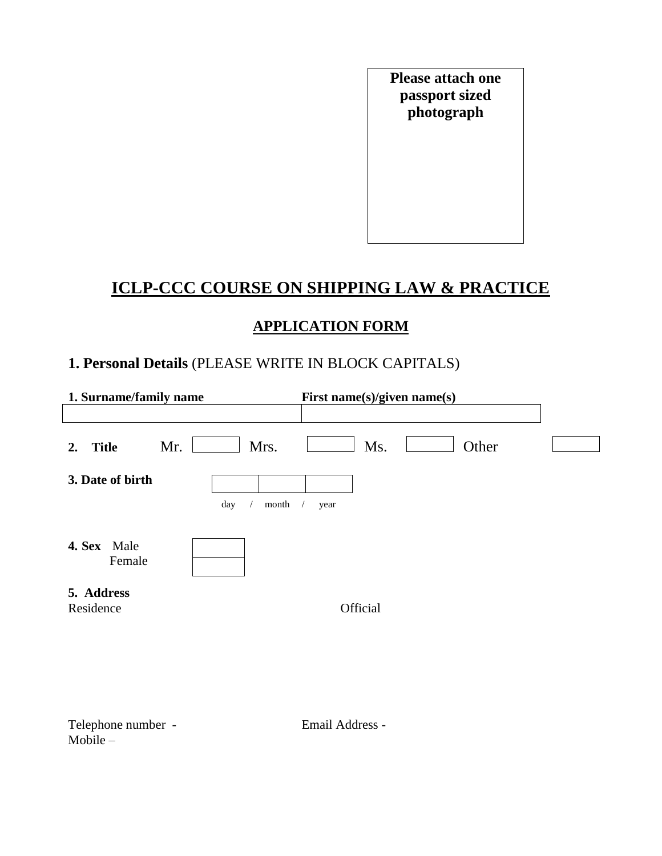**Please attach one passport sized photograph**

# **ICLP-CCC COURSE ON SHIPPING LAW & PRACTICE**

# **APPLICATION FORM**

# **1. Personal Details** (PLEASE WRITE IN BLOCK CAPITALS)

| 1. Surname/family name  |              | First name(s)/given name(s) |  |
|-------------------------|--------------|-----------------------------|--|
|                         |              |                             |  |
| <b>Title</b><br>2.      | Mrs.<br>Mr.  | Other<br>Ms.                |  |
| 3. Date of birth        |              |                             |  |
|                         | day<br>month | year                        |  |
| 4. Sex Male<br>Female   |              |                             |  |
| 5. Address<br>Residence |              | Official                    |  |

Telephone number - Telephone number - Email Address - $Mobile -$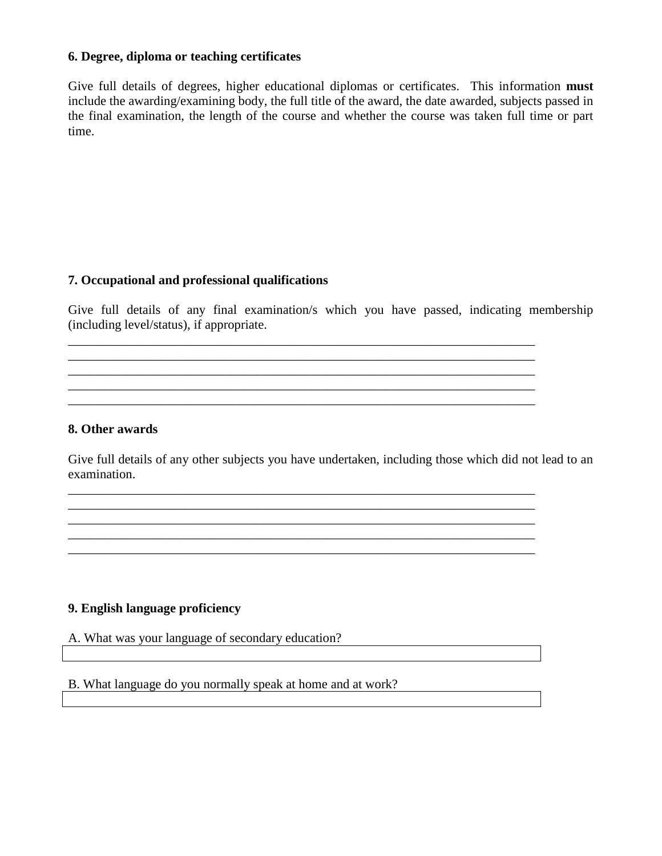# **6. Degree, diploma or teaching certificates**

Give full details of degrees, higher educational diplomas or certificates. This information **must** include the awarding/examining body, the full title of the award, the date awarded, subjects passed in the final examination, the length of the course and whether the course was taken full time or part time.

#### **7. Occupational and professional qualifications**

Give full details of any final examination/s which you have passed, indicating membership (including level/status), if appropriate.

\_\_\_\_\_\_\_\_\_\_\_\_\_\_\_\_\_\_\_\_\_\_\_\_\_\_\_\_\_\_\_\_\_\_\_\_\_\_\_\_\_\_\_\_\_\_\_\_\_\_\_\_\_\_\_\_\_\_\_\_\_\_\_\_\_\_\_\_\_\_\_\_ \_\_\_\_\_\_\_\_\_\_\_\_\_\_\_\_\_\_\_\_\_\_\_\_\_\_\_\_\_\_\_\_\_\_\_\_\_\_\_\_\_\_\_\_\_\_\_\_\_\_\_\_\_\_\_\_\_\_\_\_\_\_\_\_\_\_\_\_\_\_\_\_ \_\_\_\_\_\_\_\_\_\_\_\_\_\_\_\_\_\_\_\_\_\_\_\_\_\_\_\_\_\_\_\_\_\_\_\_\_\_\_\_\_\_\_\_\_\_\_\_\_\_\_\_\_\_\_\_\_\_\_\_\_\_\_\_\_\_\_\_\_\_\_\_ \_\_\_\_\_\_\_\_\_\_\_\_\_\_\_\_\_\_\_\_\_\_\_\_\_\_\_\_\_\_\_\_\_\_\_\_\_\_\_\_\_\_\_\_\_\_\_\_\_\_\_\_\_\_\_\_\_\_\_\_\_\_\_\_\_\_\_\_\_\_\_\_ \_\_\_\_\_\_\_\_\_\_\_\_\_\_\_\_\_\_\_\_\_\_\_\_\_\_\_\_\_\_\_\_\_\_\_\_\_\_\_\_\_\_\_\_\_\_\_\_\_\_\_\_\_\_\_\_\_\_\_\_\_\_\_\_\_\_\_\_\_\_\_\_

\_\_\_\_\_\_\_\_\_\_\_\_\_\_\_\_\_\_\_\_\_\_\_\_\_\_\_\_\_\_\_\_\_\_\_\_\_\_\_\_\_\_\_\_\_\_\_\_\_\_\_\_\_\_\_\_\_\_\_\_\_\_\_\_\_\_\_\_\_\_\_\_ \_\_\_\_\_\_\_\_\_\_\_\_\_\_\_\_\_\_\_\_\_\_\_\_\_\_\_\_\_\_\_\_\_\_\_\_\_\_\_\_\_\_\_\_\_\_\_\_\_\_\_\_\_\_\_\_\_\_\_\_\_\_\_\_\_\_\_\_\_\_\_\_

\_\_\_\_\_\_\_\_\_\_\_\_\_\_\_\_\_\_\_\_\_\_\_\_\_\_\_\_\_\_\_\_\_\_\_\_\_\_\_\_\_\_\_\_\_\_\_\_\_\_\_\_\_\_\_\_\_\_\_\_\_\_\_\_\_\_\_\_\_\_\_\_ \_\_\_\_\_\_\_\_\_\_\_\_\_\_\_\_\_\_\_\_\_\_\_\_\_\_\_\_\_\_\_\_\_\_\_\_\_\_\_\_\_\_\_\_\_\_\_\_\_\_\_\_\_\_\_\_\_\_\_\_\_\_\_\_\_\_\_\_\_\_\_\_

#### **8. Other awards**

Give full details of any other subjects you have undertaken, including those which did not lead to an examination.

#### **9. English language proficiency**

A. What was your language of secondary education?

B. What language do you normally speak at home and at work?

<u> 1980 - Jan James Barnett, fransk politik (d. 1980)</u>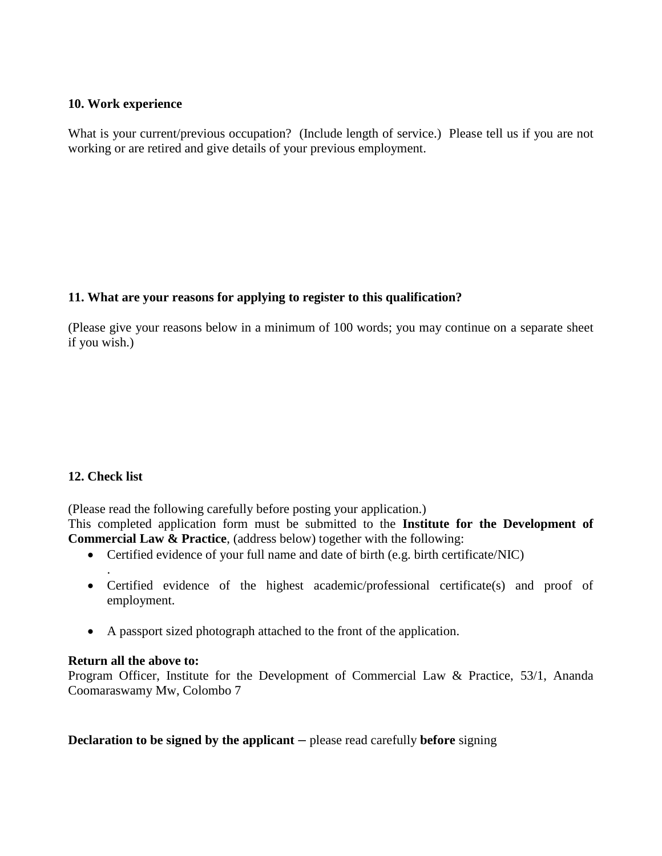#### **10. Work experience**

What is your current/previous occupation? (Include length of service.) Please tell us if you are not working or are retired and give details of your previous employment.

# **11. What are your reasons for applying to register to this qualification?**

(Please give your reasons below in a minimum of 100 words; you may continue on a separate sheet if you wish.)

# **12. Check list**

.

(Please read the following carefully before posting your application.)

This completed application form must be submitted to the **Institute for the Development of Commercial Law & Practice**, (address below) together with the following:

- Certified evidence of your full name and date of birth (e.g. birth certificate/NIC)
- Certified evidence of the highest academic/professional certificate(s) and proof of employment.
- A passport sized photograph attached to the front of the application.

# **Return all the above to:**

Program Officer, Institute for the Development of Commercial Law & Practice, 53/1, Ananda Coomaraswamy Mw, Colombo 7

**Declaration to be signed by the applicant –** please read carefully **before** signing